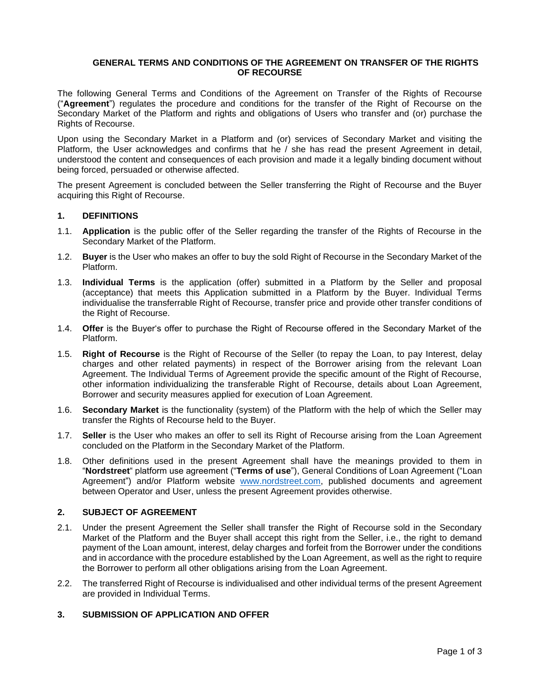### **GENERAL TERMS AND CONDITIONS OF THE AGREEMENT ON TRANSFER OF THE RIGHTS OF RECOURSE**

The following General Terms and Conditions of the Agreement on Transfer of the Rights of Recourse ("**Agreement**") regulates the procedure and conditions for the transfer of the Right of Recourse on the Secondary Market of the Platform and rights and obligations of Users who transfer and (or) purchase the Rights of Recourse.

Upon using the Secondary Market in a Platform and (or) services of Secondary Market and visiting the Platform, the User acknowledges and confirms that he / she has read the present Agreement in detail, understood the content and consequences of each provision and made it a legally binding document without being forced, persuaded or otherwise affected.

The present Agreement is concluded between the Seller transferring the Right of Recourse and the Buyer acquiring this Right of Recourse.

### **1. DEFINITIONS**

- 1.1. **Application** is the public offer of the Seller regarding the transfer of the Rights of Recourse in the Secondary Market of the Platform.
- 1.2. **Buyer** is the User who makes an offer to buy the sold Right of Recourse in the Secondary Market of the Platform.
- 1.3. **Individual Terms** is the application (offer) submitted in a Platform by the Seller and proposal (acceptance) that meets this Application submitted in a Platform by the Buyer. Individual Terms individualise the transferrable Right of Recourse, transfer price and provide other transfer conditions of the Right of Recourse.
- 1.4. **Offer** is the Buyer's offer to purchase the Right of Recourse offered in the Secondary Market of the Platform.
- 1.5. **Right of Recourse** is the Right of Recourse of the Seller (to repay the Loan, to pay Interest, delay charges and other related payments) in respect of the Borrower arising from the relevant Loan Agreement. The Individual Terms of Agreement provide the specific amount of the Right of Recourse, other information individualizing the transferable Right of Recourse, details about Loan Agreement, Borrower and security measures applied for execution of Loan Agreement.
- 1.6. **Secondary Market** is the functionality (system) of the Platform with the help of which the Seller may transfer the Rights of Recourse held to the Buyer.
- 1.7. **Seller** is the User who makes an offer to sell its Right of Recourse arising from the Loan Agreement concluded on the Platform in the Secondary Market of the Platform.
- 1.8. Other definitions used in the present Agreement shall have the meanings provided to them in "**Nordstreet**" platform use agreement ("**Terms of use**"), General Conditions of Loan Agreement ("Loan Agreement") and/or Platform website [www.nordstreet.com,](http://www.nordstreet.com/) published documents and agreement between Operator and User, unless the present Agreement provides otherwise.

#### **2. SUBJECT OF AGREEMENT**

- 2.1. Under the present Agreement the Seller shall transfer the Right of Recourse sold in the Secondary Market of the Platform and the Buyer shall accept this right from the Seller, i.e., the right to demand payment of the Loan amount, interest, delay charges and forfeit from the Borrower under the conditions and in accordance with the procedure established by the Loan Agreement, as well as the right to require the Borrower to perform all other obligations arising from the Loan Agreement.
- 2.2. The transferred Right of Recourse is individualised and other individual terms of the present Agreement are provided in Individual Terms.

#### **3. SUBMISSION OF APPLICATION AND OFFER**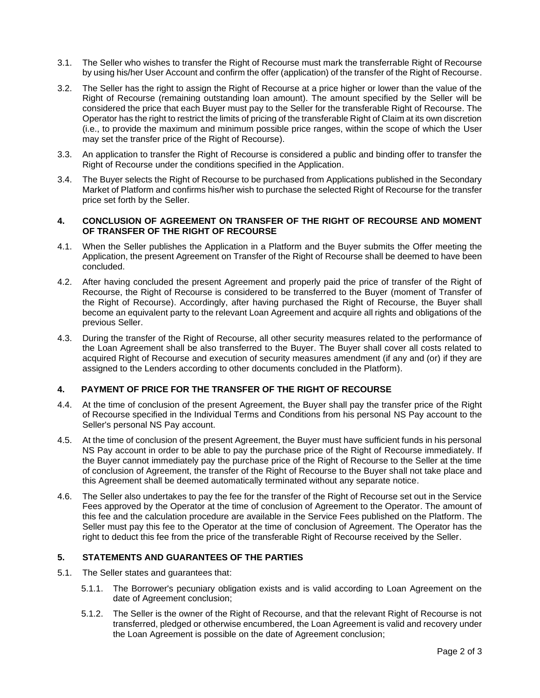- 3.1. The Seller who wishes to transfer the Right of Recourse must mark the transferrable Right of Recourse by using his/her User Account and confirm the offer (application) of the transfer of the Right of Recourse.
- 3.2. The Seller has the right to assign the Right of Recourse at a price higher or lower than the value of the Right of Recourse (remaining outstanding loan amount). The amount specified by the Seller will be considered the price that each Buyer must pay to the Seller for the transferable Right of Recourse. The Operator has the right to restrict the limits of pricing of the transferable Right of Claim at its own discretion (i.e., to provide the maximum and minimum possible price ranges, within the scope of which the User may set the transfer price of the Right of Recourse).
- 3.3. An application to transfer the Right of Recourse is considered a public and binding offer to transfer the Right of Recourse under the conditions specified in the Application.
- 3.4. The Buyer selects the Right of Recourse to be purchased from Applications published in the Secondary Market of Platform and confirms his/her wish to purchase the selected Right of Recourse for the transfer price set forth by the Seller.

### **4. CONCLUSION OF AGREEMENT ON TRANSFER OF THE RIGHT OF RECOURSE AND MOMENT OF TRANSFER OF THE RIGHT OF RECOURSE**

- 4.1. When the Seller publishes the Application in a Platform and the Buyer submits the Offer meeting the Application, the present Agreement on Transfer of the Right of Recourse shall be deemed to have been concluded.
- 4.2. After having concluded the present Agreement and properly paid the price of transfer of the Right of Recourse, the Right of Recourse is considered to be transferred to the Buyer (moment of Transfer of the Right of Recourse). Accordingly, after having purchased the Right of Recourse, the Buyer shall become an equivalent party to the relevant Loan Agreement and acquire all rights and obligations of the previous Seller.
- 4.3. During the transfer of the Right of Recourse, all other security measures related to the performance of the Loan Agreement shall be also transferred to the Buyer. The Buyer shall cover all costs related to acquired Right of Recourse and execution of security measures amendment (if any and (or) if they are assigned to the Lenders according to other documents concluded in the Platform).

# **4. PAYMENT OF PRICE FOR THE TRANSFER OF THE RIGHT OF RECOURSE**

- 4.4. At the time of conclusion of the present Agreement, the Buyer shall pay the transfer price of the Right of Recourse specified in the Individual Terms and Conditions from his personal NS Pay account to the Seller's personal NS Pay account.
- 4.5. At the time of conclusion of the present Agreement, the Buyer must have sufficient funds in his personal NS Pay account in order to be able to pay the purchase price of the Right of Recourse immediately. If the Buyer cannot immediately pay the purchase price of the Right of Recourse to the Seller at the time of conclusion of Agreement, the transfer of the Right of Recourse to the Buyer shall not take place and this Agreement shall be deemed automatically terminated without any separate notice.
- 4.6. The Seller also undertakes to pay the fee for the transfer of the Right of Recourse set out in the Service Fees approved by the Operator at the time of conclusion of Agreement to the Operator. The amount of this fee and the calculation procedure are available in the Service Fees published on the Platform. The Seller must pay this fee to the Operator at the time of conclusion of Agreement. The Operator has the right to deduct this fee from the price of the transferable Right of Recourse received by the Seller.

# **5. STATEMENTS AND GUARANTEES OF THE PARTIES**

- 5.1. The Seller states and guarantees that:
	- 5.1.1. The Borrower's pecuniary obligation exists and is valid according to Loan Agreement on the date of Agreement conclusion;
	- 5.1.2. The Seller is the owner of the Right of Recourse, and that the relevant Right of Recourse is not transferred, pledged or otherwise encumbered, the Loan Agreement is valid and recovery under the Loan Agreement is possible on the date of Agreement conclusion;